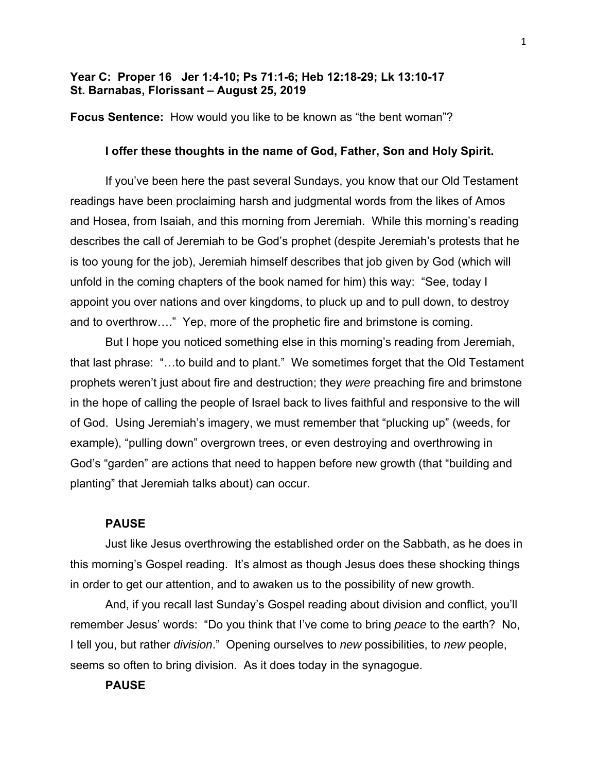# **Year C: Proper 16 Jer 1:4-10; Ps 71:1-6; Heb 12:18-29; Lk 13:10-17 St. Barnabas, Florissant – August 25, 2019**

**Focus Sentence:** How would you like to be known as "the bent woman"?

# **I offer these thoughts in the name of God, Father, Son and Holy Spirit.**

If you've been here the past several Sundays, you know that our Old Testament readings have been proclaiming harsh and judgmental words from the likes of Amos and Hosea, from Isaiah, and this morning from Jeremiah. While this morning's reading describes the call of Jeremiah to be God's prophet (despite Jeremiah's protests that he is too young for the job), Jeremiah himself describes that job given by God (which will unfold in the coming chapters of the book named for him) this way: "See, today I appoint you over nations and over kingdoms, to pluck up and to pull down, to destroy and to overthrow…." Yep, more of the prophetic fire and brimstone is coming.

But I hope you noticed something else in this morning's reading from Jeremiah, that last phrase: "…to build and to plant." We sometimes forget that the Old Testament prophets weren't just about fire and destruction; they *were* preaching fire and brimstone in the hope of calling the people of Israel back to lives faithful and responsive to the will of God. Using Jeremiah's imagery, we must remember that "plucking up" (weeds, for example), "pulling down" overgrown trees, or even destroying and overthrowing in God's "garden" are actions that need to happen before new growth (that "building and planting" that Jeremiah talks about) can occur.

#### **PAUSE**

Just like Jesus overthrowing the established order on the Sabbath, as he does in this morning's Gospel reading. It's almost as though Jesus does these shocking things in order to get our attention, and to awaken us to the possibility of new growth.

 And, if you recall last Sunday's Gospel reading about division and conflict, you'll remember Jesus' words: "Do you think that I've come to bring *peace* to the earth? No, I tell you, but rather *division*." Opening ourselves to *new* possibilities, to *new* people, seems so often to bring division. As it does today in the synagogue.

#### **PAUSE**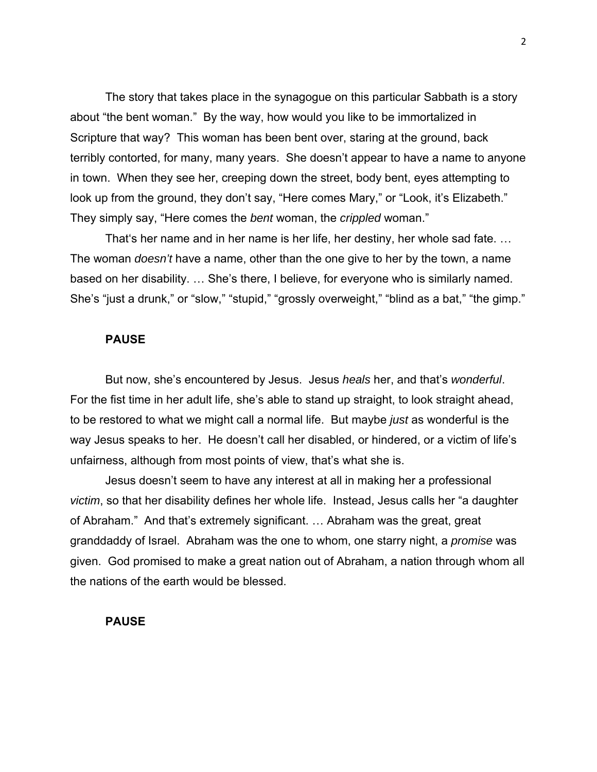The story that takes place in the synagogue on this particular Sabbath is a story about "the bent woman." By the way, how would you like to be immortalized in Scripture that way? This woman has been bent over, staring at the ground, back terribly contorted, for many, many years. She doesn't appear to have a name to anyone in town. When they see her, creeping down the street, body bent, eyes attempting to look up from the ground, they don't say, "Here comes Mary," or "Look, it's Elizabeth." They simply say, "Here comes the *bent* woman, the *crippled* woman."

That's her name and in her name is her life, her destiny, her whole sad fate. … The woman *doesn't* have a name, other than the one give to her by the town, a name based on her disability. … She's there, I believe, for everyone who is similarly named. She's "just a drunk," or "slow," "stupid," "grossly overweight," "blind as a bat," "the gimp."

# **PAUSE**

But now, she's encountered by Jesus. Jesus *heals* her, and that's *wonderful*. For the fist time in her adult life, she's able to stand up straight, to look straight ahead, to be restored to what we might call a normal life. But maybe *just* as wonderful is the way Jesus speaks to her. He doesn't call her disabled, or hindered, or a victim of life's unfairness, although from most points of view, that's what she is.

Jesus doesn't seem to have any interest at all in making her a professional *victim*, so that her disability defines her whole life. Instead, Jesus calls her "a daughter of Abraham." And that's extremely significant. … Abraham was the great, great granddaddy of Israel. Abraham was the one to whom, one starry night, a *promise* was given. God promised to make a great nation out of Abraham, a nation through whom all the nations of the earth would be blessed.

### **PAUSE**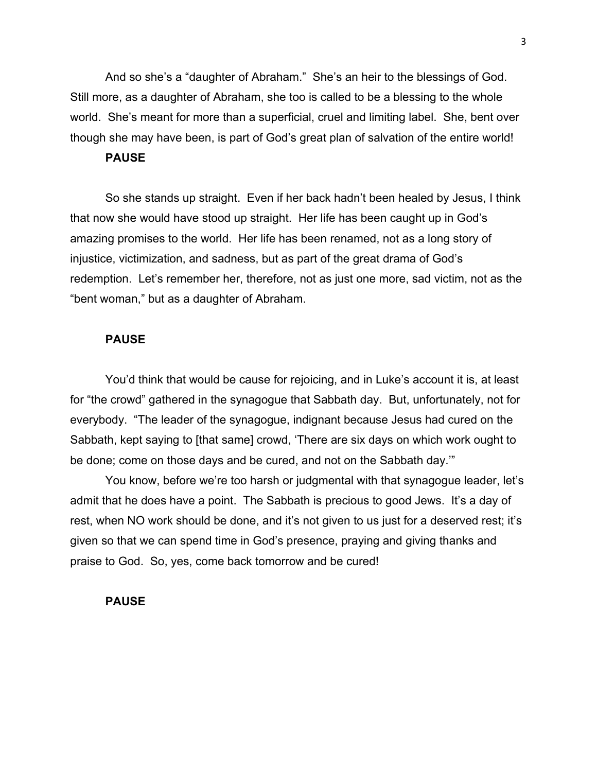And so she's a "daughter of Abraham." She's an heir to the blessings of God. Still more, as a daughter of Abraham, she too is called to be a blessing to the whole world. She's meant for more than a superficial, cruel and limiting label. She, bent over though she may have been, is part of God's great plan of salvation of the entire world!

# **PAUSE**

So she stands up straight. Even if her back hadn't been healed by Jesus, I think that now she would have stood up straight. Her life has been caught up in God's amazing promises to the world. Her life has been renamed, not as a long story of injustice, victimization, and sadness, but as part of the great drama of God's redemption. Let's remember her, therefore, not as just one more, sad victim, not as the "bent woman," but as a daughter of Abraham.

#### **PAUSE**

You'd think that would be cause for rejoicing, and in Luke's account it is, at least for "the crowd" gathered in the synagogue that Sabbath day. But, unfortunately, not for everybody. "The leader of the synagogue, indignant because Jesus had cured on the Sabbath, kept saying to [that same] crowd, 'There are six days on which work ought to be done; come on those days and be cured, and not on the Sabbath day.'"

You know, before we're too harsh or judgmental with that synagogue leader, let's admit that he does have a point. The Sabbath is precious to good Jews. It's a day of rest, when NO work should be done, and it's not given to us just for a deserved rest; it's given so that we can spend time in God's presence, praying and giving thanks and praise to God. So, yes, come back tomorrow and be cured!

## **PAUSE**